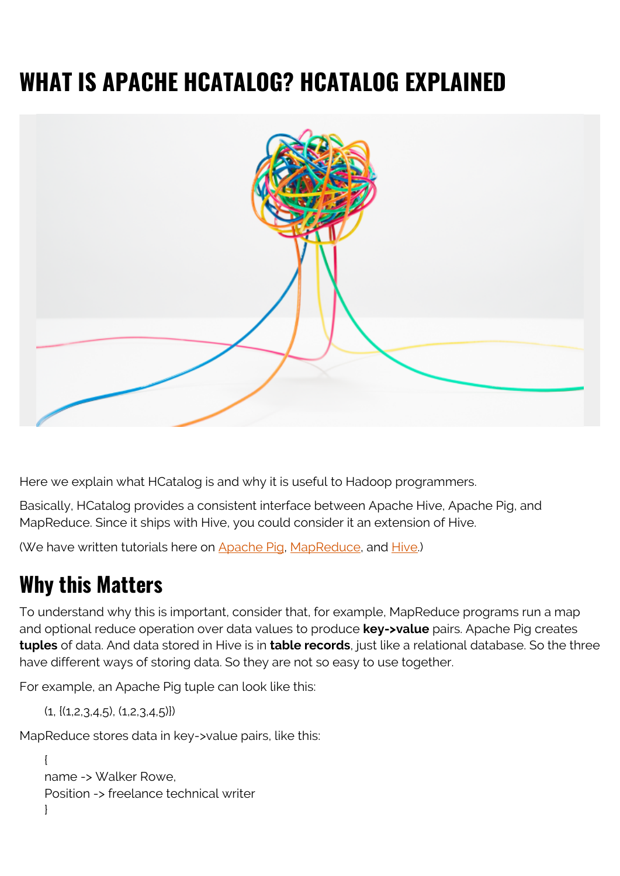# **WHAT IS APACHE HCATALOG? HCATALOG EXPLAINED**



Here we explain what HCatalog is and why it is useful to Hadoop programmers.

Basically, HCatalog provides a consistent interface between Apache Hive, Apache Pig, and MapReduce. Since it ships with Hive, you could consider it an extension of Hive.

(We have written tutorials here on [Apache Pig](https://blogs.bmc.com/blogs/hadoop-apache-pig/), [MapReduce](https://blogs.bmc.com/blogs/hadoop-architecture/), and [Hive](https://blogs.bmc.com/blogs/hadoop-hive/).)

#### **Why this Matters**

To understand why this is important, consider that, for example, MapReduce programs run a map and optional reduce operation over data values to produce **key->value** pairs. Apache Pig creates **tuples** of data. And data stored in Hive is in **table records**, just like a relational database. So the three have different ways of storing data. So they are not so easy to use together.

For example, an Apache Pig tuple can look like this:

```
(1, \{(1, 2, 3, 4, 5), (1, 2, 3, 4, 5)\})
```
MapReduce stores data in key->value pairs, like this:

```
{
name -> Walker Rowe,
Position -> freelance technical writer
}
```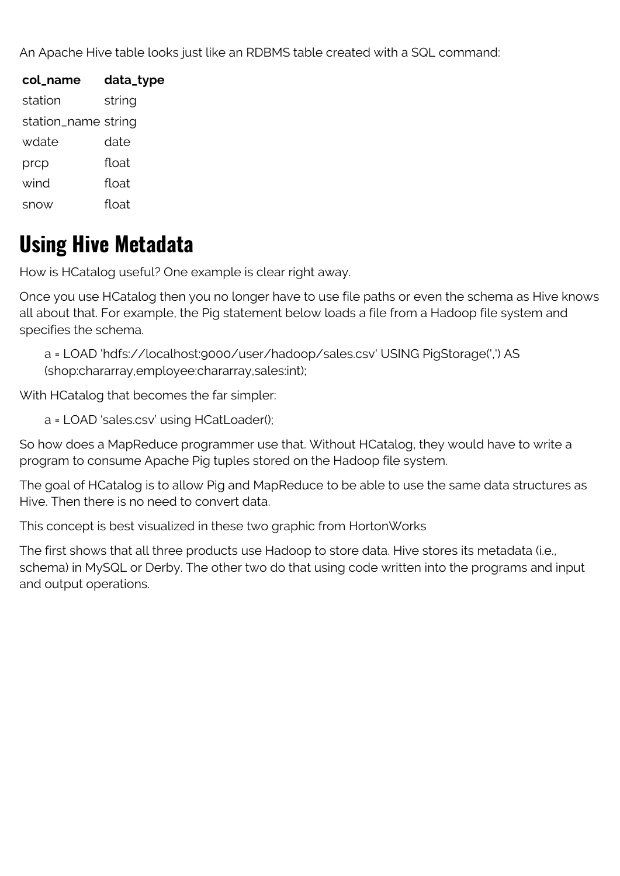An Apache Hive table looks just like an RDBMS table created with a SQL command:

| col_name            | data_type |
|---------------------|-----------|
| station             | string    |
| station_name string |           |
| wdate               | date      |
| prcp                | float     |
| wind                | float     |
| snow                | float     |

#### **Using Hive Metadata**

How is HCatalog useful? One example is clear right away.

Once you use HCatalog then you no longer have to use file paths or even the schema as Hive knows all about that. For example, the Pig statement below loads a file from a Hadoop file system and specifies the schema.

a = LOAD 'hdfs://localhost:9000/user/hadoop/sales.csv' USING PigStorage(',') AS (shop:chararray,employee:chararray,sales:int);

With HCatalog that becomes the far simpler:

a = LOAD 'sales.csv' using HCatLoader();

So how does a MapReduce programmer use that. Without HCatalog, they would have to write a program to consume Apache Pig tuples stored on the Hadoop file system.

The goal of HCatalog is to allow Pig and MapReduce to be able to use the same data structures as Hive. Then there is no need to convert data.

This concept is best visualized in these two graphic from HortonWorks

The first shows that all three products use Hadoop to store data. Hive stores its metadata (i.e., schema) in MySQL or Derby. The other two do that using code written into the programs and input and output operations.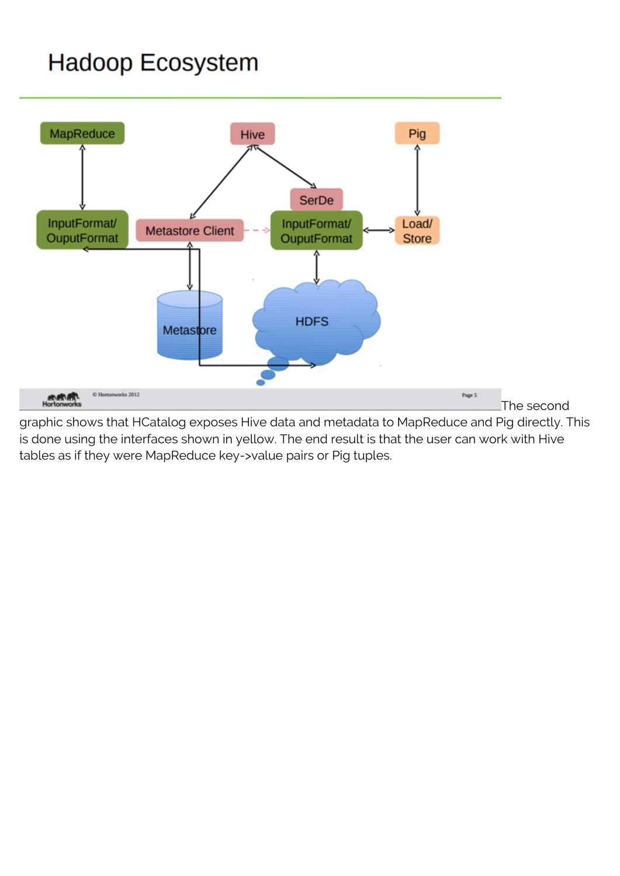### **Hadoop Ecosystem**



graphic shows that HCatalog exposes Hive data and metadata to MapReduce and Pig directly. This is done using the interfaces shown in yellow. The end result is that the user can work with Hive tables as if they were MapReduce key->value pairs or Pig tuples.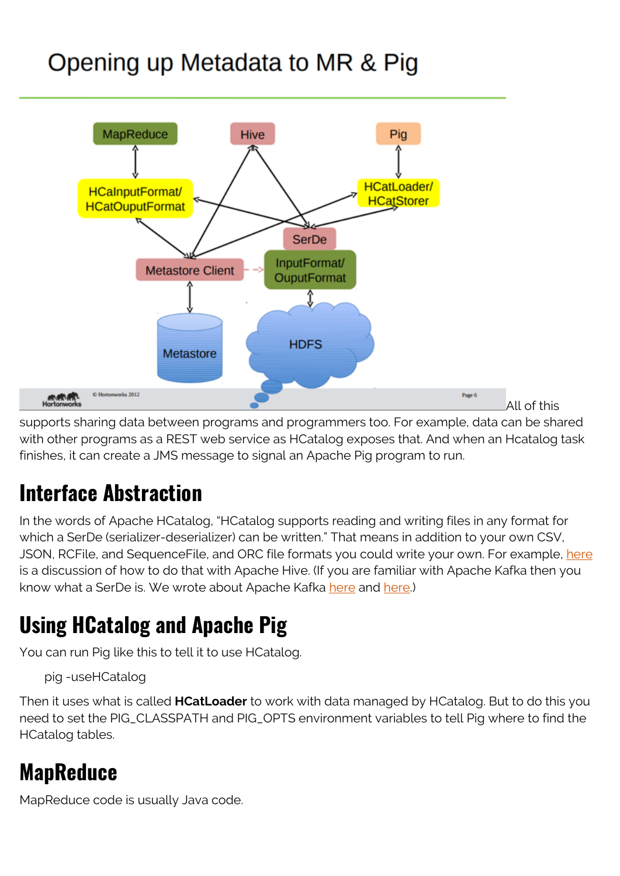## Opening up Metadata to MR & Pig



supports sharing data between programs and programmers too. For example, data can be shared with other programs as a REST web service as HCatalog exposes that. And when an Hcatalog task finishes, it can create a JMS message to signal an Apache Pig program to run.

### **Interface Abstraction**

In the words of Apache HCatalog, "HCatalog supports reading and writing files in any format for which a SerDe (serializer-deserializer) can be written." That means in addition to your own CSV, JSON, RCFile, and SequenceFile, and ORC file formats you could write your own. For example, [here](https://cwiki.apache.org/confluence/display/Hive/SerDe) is a discussion of how to do that with Apache Hive. (If you are familiar with Apache Kafka then you know what a SerDe is. We wrote about Apache Kafka [here](https://blogs.bmc.com/blogs/working-streaming-twitter-data-using-kafka/) and [here.](https://blogs.bmc.com/blogs/reading-streaming-twitter-feeds-apache-spark/))

### **Using HCatalog and Apache Pig**

You can run Pig like this to tell it to use HCatalog.

pig -useHCatalog

Then it uses what is called **HCatLoader** to work with data managed by HCatalog. But to do this you need to set the PIG\_CLASSPATH and PIG\_OPTS environment variables to tell Pig where to find the HCatalog tables.

### **MapReduce**

MapReduce code is usually Java code.